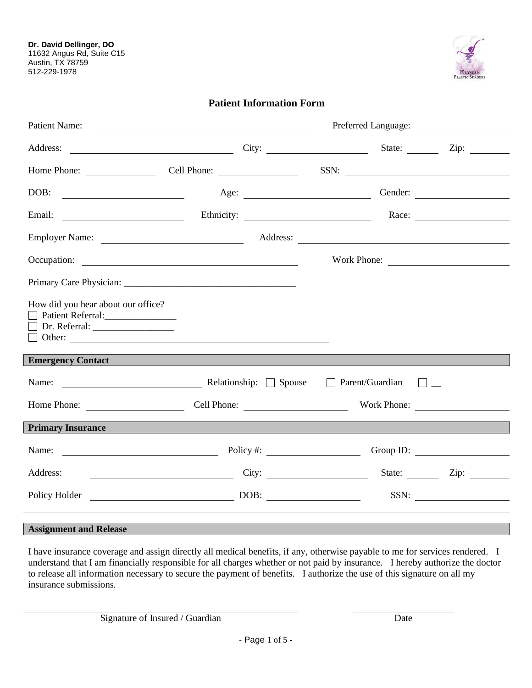

## **Patient Information Form**

| Patient Name:<br>Preferred Language: <u>New York: New York: New York: New York: New York: New York: New York: New York: New York: N</u>                                                                                        |  |  |  |                      |
|--------------------------------------------------------------------------------------------------------------------------------------------------------------------------------------------------------------------------------|--|--|--|----------------------|
| Address: City: City: State: State:                                                                                                                                                                                             |  |  |  | Zip: $\qquad \qquad$ |
| Home Phone: Cell Phone: Cell Phone:                                                                                                                                                                                            |  |  |  | SSN:                 |
|                                                                                                                                                                                                                                |  |  |  | Age: Gender: Gender: |
| Email: Ethnicity: Race: Race: Race:                                                                                                                                                                                            |  |  |  |                      |
|                                                                                                                                                                                                                                |  |  |  |                      |
| Occupation:                                                                                                                                                                                                                    |  |  |  |                      |
|                                                                                                                                                                                                                                |  |  |  |                      |
| How did you hear about our office?<br>Patient Referral:______________                                                                                                                                                          |  |  |  |                      |
| Emergency Contact contact control of the control of the control of the control of the control of the control of the control of the control of the control of the control of the control of the control of the control of the c |  |  |  |                      |
| Name: <u>Name:</u> Relationship: Spouse Deparent/Guardian D <sub>I</sub>                                                                                                                                                       |  |  |  |                      |
| Home Phone: Cell Phone: Work Phone: Work Phone:                                                                                                                                                                                |  |  |  |                      |
| Primary Insurance and the contract of the contract of the contract of the contract of the contract of the contract of the contract of the contract of the contract of the contract of the contract of the contract of the cont |  |  |  |                      |
| Name: Name: Policy #: Name: Group ID:                                                                                                                                                                                          |  |  |  |                      |
| Address: <u>City:</u> City: State: Zip: Zip:                                                                                                                                                                                   |  |  |  |                      |
|                                                                                                                                                                                                                                |  |  |  |                      |
| <b>Assignment and Release</b>                                                                                                                                                                                                  |  |  |  |                      |

I have insurance coverage and assign directly all medical benefits, if any, otherwise payable to me for services rendered. I understand that I am financially responsible for all charges whether or not paid by insurance. I hereby authorize the doctor to release all information necessary to secure the payment of benefits. I authorize the use of this signature on all my insurance submissions.

Signature of Insured / Guardian Date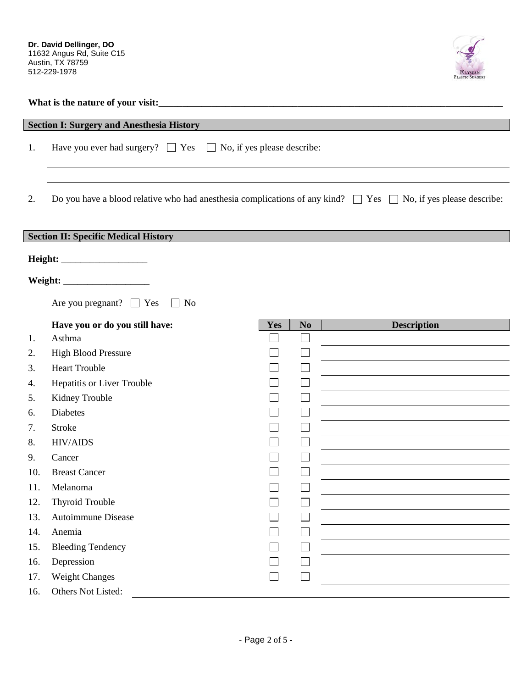

| What is the nature of your visit: |  |  |
|-----------------------------------|--|--|
|                                   |  |  |

|     | <b>Section I: Surgery and Anesthesia History</b>                                                                         |     |                             |                    |
|-----|--------------------------------------------------------------------------------------------------------------------------|-----|-----------------------------|--------------------|
| 1.  | Have you ever had surgery? $\Box$ Yes $\Box$ No, if yes please describe:                                                 |     |                             |                    |
|     |                                                                                                                          |     |                             |                    |
| 2.  | Do you have a blood relative who had anesthesia complications of any kind? $\Box$ Yes $\Box$ No, if yes please describe: |     |                             |                    |
|     |                                                                                                                          |     |                             |                    |
|     | <b>Section II: Specific Medical History</b>                                                                              |     |                             |                    |
|     |                                                                                                                          |     |                             |                    |
|     |                                                                                                                          |     |                             |                    |
|     |                                                                                                                          |     |                             |                    |
|     | Are you pregnant? $\Box$ Yes<br>No<br>$\mathcal{L}^{\mathcal{A}}$                                                        |     |                             |                    |
|     | Have you or do you still have:                                                                                           | Yes | N <sub>0</sub>              | <b>Description</b> |
| 1.  | Asthma                                                                                                                   |     |                             |                    |
| 2.  | <b>High Blood Pressure</b>                                                                                               |     |                             |                    |
| 3.  | <b>Heart Trouble</b>                                                                                                     |     | $\Box$                      |                    |
| 4.  | Hepatitis or Liver Trouble                                                                                               |     | $\mathbf{L}$                |                    |
| 5.  | Kidney Trouble                                                                                                           |     |                             |                    |
| 6.  | <b>Diabetes</b>                                                                                                          |     |                             |                    |
| 7.  | <b>Stroke</b>                                                                                                            |     |                             |                    |
| 8.  | <b>HIV/AIDS</b>                                                                                                          |     |                             |                    |
| 9.  | Cancer                                                                                                                   |     |                             |                    |
| 10. | <b>Breast Cancer</b>                                                                                                     |     | L                           |                    |
| 11. | Melanoma                                                                                                                 |     |                             |                    |
| 12. | <b>Thyroid Trouble</b>                                                                                                   |     | ᅳ                           |                    |
| 13. | Autoimmune Disease                                                                                                       |     | $\mathcal{L}_{\mathcal{A}}$ |                    |
| 14. | Anemia                                                                                                                   |     | $\mathbf{L}$                |                    |
| 15. | <b>Bleeding Tendency</b>                                                                                                 |     |                             |                    |
| 16. | Depression                                                                                                               |     |                             |                    |
| 17. | Weight Changes                                                                                                           |     | L                           |                    |
| 16. | Others Not Listed:                                                                                                       |     |                             |                    |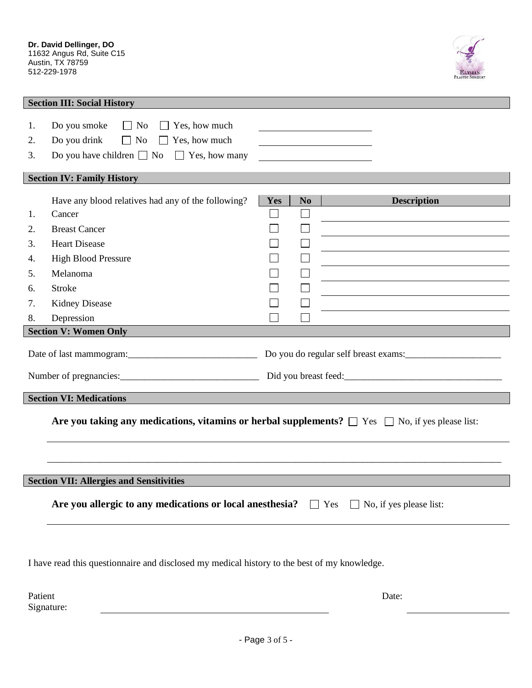

| <b>Section III: Social History</b>                                                                        |                                                                                                                                                                                     |     |                |                    |  |  |  |
|-----------------------------------------------------------------------------------------------------------|-------------------------------------------------------------------------------------------------------------------------------------------------------------------------------------|-----|----------------|--------------------|--|--|--|
| 1.<br>2.<br>3.                                                                                            | $\Box$ No<br>Do you smoke<br>Yes, how much<br>$\perp$<br>Do you drink<br>Yes, how much<br>No<br>$\perp$<br>$\mathbb{R}^n$<br>Do you have children $\Box$ No<br>$\Box$ Yes, how many |     |                |                    |  |  |  |
|                                                                                                           | <b>Section IV: Family History</b>                                                                                                                                                   |     |                |                    |  |  |  |
| 1.                                                                                                        | Have any blood relatives had any of the following?<br>Cancer                                                                                                                        | Yes | N <sub>0</sub> | <b>Description</b> |  |  |  |
|                                                                                                           |                                                                                                                                                                                     |     |                |                    |  |  |  |
| 2.                                                                                                        | <b>Breast Cancer</b>                                                                                                                                                                |     |                |                    |  |  |  |
| 3.                                                                                                        | <b>Heart Disease</b>                                                                                                                                                                |     |                |                    |  |  |  |
| 4.                                                                                                        | <b>High Blood Pressure</b>                                                                                                                                                          |     |                |                    |  |  |  |
| 5.                                                                                                        | Melanoma                                                                                                                                                                            |     |                |                    |  |  |  |
| 6.                                                                                                        | <b>Stroke</b>                                                                                                                                                                       |     |                |                    |  |  |  |
| 7.                                                                                                        | <b>Kidney Disease</b>                                                                                                                                                               |     |                |                    |  |  |  |
| 8.                                                                                                        | Depression                                                                                                                                                                          |     |                |                    |  |  |  |
|                                                                                                           | <b>Section V: Women Only</b>                                                                                                                                                        |     |                |                    |  |  |  |
| Date of last mammogram:<br><u>Date of last mammogram</u> :<br>Do you do regular self breast exams:        |                                                                                                                                                                                     |     |                |                    |  |  |  |
|                                                                                                           |                                                                                                                                                                                     |     |                |                    |  |  |  |
| <b>Section VI: Medications</b>                                                                            |                                                                                                                                                                                     |     |                |                    |  |  |  |
| Are you taking any medications, vitamins or herbal supplements? $\Box$ Yes $\Box$ No, if yes please list: |                                                                                                                                                                                     |     |                |                    |  |  |  |
|                                                                                                           |                                                                                                                                                                                     |     |                |                    |  |  |  |
|                                                                                                           |                                                                                                                                                                                     |     |                |                    |  |  |  |
| <b>Section VII: Allergies and Sensitivities</b>                                                           |                                                                                                                                                                                     |     |                |                    |  |  |  |
| Are you allergic to any medications or local anesthesia? $\Box$ Yes<br>$\Box$ No, if yes please list:     |                                                                                                                                                                                     |     |                |                    |  |  |  |
| I have read this questionnaire and disclosed my medical history to the best of my knowledge.              |                                                                                                                                                                                     |     |                |                    |  |  |  |

Patient Signature:

- Page 3 of 5 -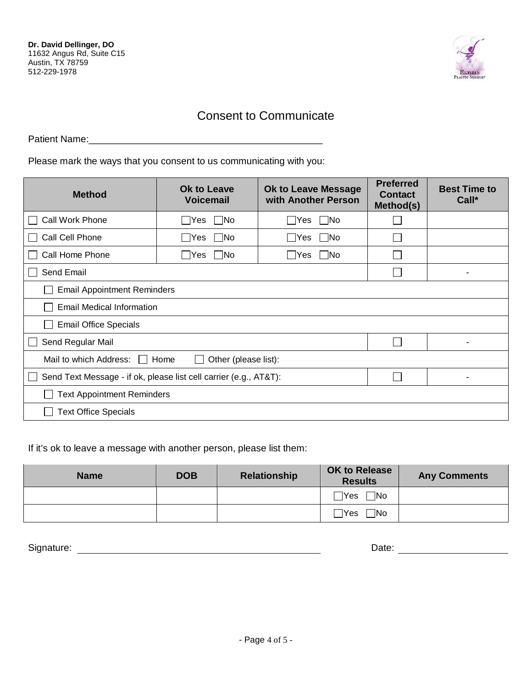

## Consent to Communicate

Patient Name:

Please mark the ways that you consent to us communicating with you:

| <b>Method</b>                                                     | <b>Ok to Leave</b><br><b>Voicemail</b> | <b>Ok to Leave Message</b><br>with Another Person | <b>Preferred</b><br><b>Contact</b><br>Method(s) | <b>Best Time to</b><br>Call* |  |  |
|-------------------------------------------------------------------|----------------------------------------|---------------------------------------------------|-------------------------------------------------|------------------------------|--|--|
| <b>Call Work Phone</b>                                            | $\Box$ No<br>__ Yes                    | $\bigcap$ Yes<br><b>INo</b>                       |                                                 |                              |  |  |
| Call Cell Phone                                                   | No<br> Yes                             | $\forall$ es<br>- INo                             |                                                 |                              |  |  |
| Call Home Phone                                                   | No<br>$\overline{\phantom{a}}$  Yes    | <b>Yes</b><br>- INo                               |                                                 |                              |  |  |
| Send Email                                                        |                                        | ۰                                                 |                                                 |                              |  |  |
| <b>Email Appointment Reminders</b>                                |                                        |                                                   |                                                 |                              |  |  |
| Email Medical Information                                         |                                        |                                                   |                                                 |                              |  |  |
| <b>Email Office Specials</b>                                      |                                        |                                                   |                                                 |                              |  |  |
| Send Regular Mail                                                 |                                        |                                                   |                                                 |                              |  |  |
| Mail to which Address:<br>Other (please list):<br>Home            |                                        |                                                   |                                                 |                              |  |  |
| Send Text Message - if ok, please list cell carrier (e.g., AT&T): |                                        |                                                   |                                                 |                              |  |  |
| <b>Text Appointment Reminders</b>                                 |                                        |                                                   |                                                 |                              |  |  |
| <b>Text Office Specials</b>                                       |                                        |                                                   |                                                 |                              |  |  |

If it's ok to leave a message with another person, please list them:

| <b>Name</b> | <b>DOB</b> | Relationship | <b>OK to Release</b><br><b>Results</b> | <b>Any Comments</b> |
|-------------|------------|--------------|----------------------------------------|---------------------|
|             |            |              | $\square$ No                           |                     |
|             |            |              | $\square$ No<br>$\Box$ Yes             |                     |

Signature: Date: